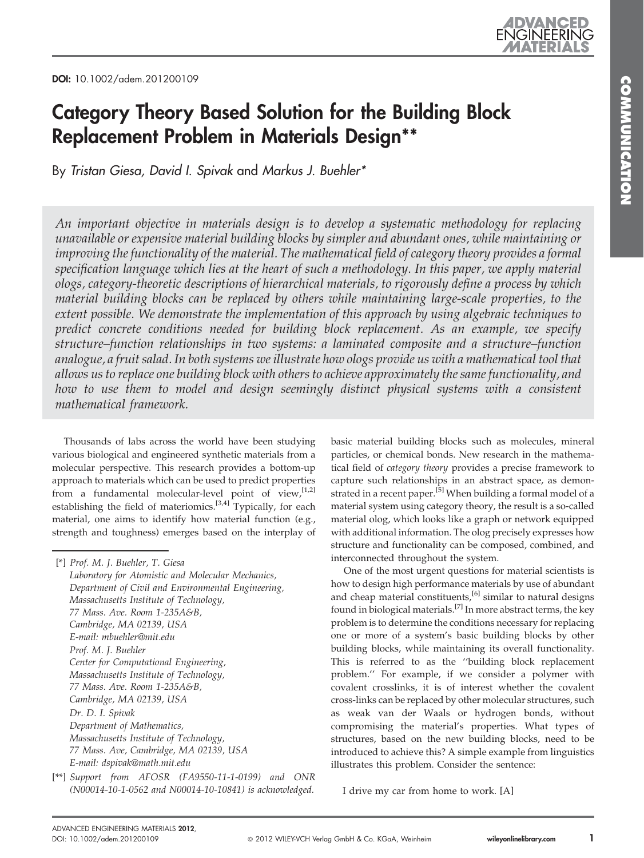# Category Theory Based Solution for the Building Block Replacement Problem in Materials Design\*\*

By Tristan Giesa, David I. Spivak and Markus J. Buehler\*

An important objective in materials design is to develop a systematic methodology for replacing unavailable or expensive material building blocks by simpler and abundant ones, while maintaining or improving the functionality of the material. The mathematical field of category theory provides a formal specification language which lies at the heart of such a methodology. In this paper, we apply material ologs, category-theoretic descriptions of hierarchical materials, to rigorously define a process by which material building blocks can be replaced by others while maintaining large-scale properties, to the extent possible. We demonstrate the implementation of this approach by using algebraic techniques to predict concrete conditions needed for building block replacement. As an example, we specify structure–function relationships in two systems: a laminated composite and a structure–function analogue, a fruit salad. In both systems we illustrate how ologs provide us with a mathematical tool that allows us to replace one building block with others to achieve approximately the same functionality, and how to use them to model and design seemingly distinct physical systems with a consistent mathematical framework.

Thousands of labs across the world have been studying various biological and engineered synthetic materials from a molecular perspective. This research provides a bottom-up approach to materials which can be used to predict properties from a fundamental molecular-level point of view,  $[1,2]$ establishing the field of materiomics.<sup>[3,4]</sup> Typically, for each material, one aims to identify how material function (e.g., strength and toughness) emerges based on the interplay of

[\*] Prof. M. J. Buehler, T. Giesa Laboratory for Atomistic and Molecular Mechanics, Department of Civil and Environmental Engineering, Massachusetts Institute of Technology, 77 Mass. Ave. Room 1-235A&B, Cambridge, MA 02139, USA E-mail: mbuehler@mit.edu Prof. M. J. Buehler Center for Computational Engineering, Massachusetts Institute of Technology, 77 Mass. Ave. Room 1-235A&B, Cambridge, MA 02139, USA Dr. D. I. Spivak Department of Mathematics, Massachusetts Institute of Technology, 77 Mass. Ave, Cambridge, MA 02139, USA E-mail: dspivak@math.mit.edu

[\*\*] Support from AFOSR (FA9550-11-1-0199) and ONR (N00014-10-1-0562 and N00014-10-10841) is acknowledged.

basic material building blocks such as molecules, mineral particles, or chemical bonds. New research in the mathematical field of category theory provides a precise framework to capture such relationships in an abstract space, as demonstrated in a recent paper.<sup>[5]</sup> When building a formal model of a material system using category theory, the result is a so-called material olog, which looks like a graph or network equipped with additional information. The olog precisely expresses how structure and functionality can be composed, combined, and interconnected throughout the system.

One of the most urgent questions for material scientists is how to design high performance materials by use of abundant and cheap material constituents, $[6]$  similar to natural designs found in biological materials.[7] In more abstract terms, the key problem is to determine the conditions necessary for replacing one or more of a system's basic building blocks by other building blocks, while maintaining its overall functionality. This is referred to as the ''building block replacement problem.'' For example, if we consider a polymer with covalent crosslinks, it is of interest whether the covalent cross-links can be replaced by other molecular structures, such as weak van der Waals or hydrogen bonds, without compromising the material's properties. What types of structures, based on the new building blocks, need to be introduced to achieve this? A simple example from linguistics illustrates this problem. Consider the sentence:

I drive my car from home to work. [A]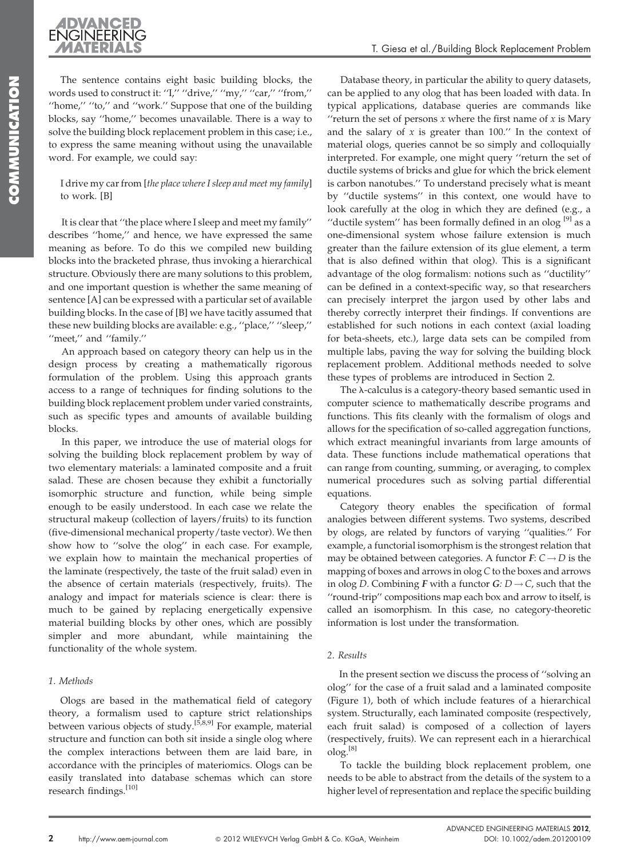

The sentence contains eight basic building blocks, the words used to construct it: "I," "drive," "my," "car," "from," ''home,'' ''to,'' and ''work.'' Suppose that one of the building blocks, say ''home,'' becomes unavailable. There is a way to solve the building block replacement problem in this case; i.e., to express the same meaning without using the unavailable word. For example, we could say:

# I drive my car from [the place where I sleep and meet my family] to work. [B]

It is clear that ''the place where I sleep and meet my family'' describes ''home,'' and hence, we have expressed the same meaning as before. To do this we compiled new building blocks into the bracketed phrase, thus invoking a hierarchical structure. Obviously there are many solutions to this problem, and one important question is whether the same meaning of sentence [A] can be expressed with a particular set of available building blocks. In the case of [B] we have tacitly assumed that these new building blocks are available: e.g., ''place,'' ''sleep,'' ''meet,'' and ''family.''

An approach based on category theory can help us in the design process by creating a mathematically rigorous formulation of the problem. Using this approach grants access to a range of techniques for finding solutions to the building block replacement problem under varied constraints, such as specific types and amounts of available building blocks.

In this paper, we introduce the use of material ologs for solving the building block replacement problem by way of two elementary materials: a laminated composite and a fruit salad. These are chosen because they exhibit a functorially isomorphic structure and function, while being simple enough to be easily understood. In each case we relate the structural makeup (collection of layers/fruits) to its function (five-dimensional mechanical property/taste vector). We then show how to ''solve the olog'' in each case. For example, we explain how to maintain the mechanical properties of the laminate (respectively, the taste of the fruit salad) even in the absence of certain materials (respectively, fruits). The analogy and impact for materials science is clear: there is much to be gained by replacing energetically expensive material building blocks by other ones, which are possibly simpler and more abundant, while maintaining the functionality of the whole system.

# 1. Methods

Ologs are based in the mathematical field of category theory, a formalism used to capture strict relationships between various objects of study.<sup>[5,8,9]</sup> For example, material structure and function can both sit inside a single olog where the complex interactions between them are laid bare, in accordance with the principles of materiomics. Ologs can be easily translated into database schemas which can store research findings.<sup>[10]</sup>

Database theory, in particular the ability to query datasets, can be applied to any olog that has been loaded with data. In typical applications, database queries are commands like "return the set of persons  $x$  where the first name of  $x$  is Mary and the salary of  $x$  is greater than 100." In the context of material ologs, queries cannot be so simply and colloquially interpreted. For example, one might query ''return the set of ductile systems of bricks and glue for which the brick element is carbon nanotubes.'' To understand precisely what is meant by ''ductile systems'' in this context, one would have to look carefully at the olog in which they are defined (e.g., a "ductile system" has been formally defined in an olog<sup>[9]</sup> as a one-dimensional system whose failure extension is much greater than the failure extension of its glue element, a term that is also defined within that olog). This is a significant advantage of the olog formalism: notions such as ''ductility'' can be defined in a context-specific way, so that researchers can precisely interpret the jargon used by other labs and thereby correctly interpret their findings. If conventions are established for such notions in each context (axial loading for beta-sheets, etc.), large data sets can be compiled from multiple labs, paving the way for solving the building block replacement problem. Additional methods needed to solve these types of problems are introduced in Section 2.

The  $\lambda$ -calculus is a category-theory based semantic used in computer science to mathematically describe programs and functions. This fits cleanly with the formalism of ologs and allows for the specification of so-called aggregation functions, which extract meaningful invariants from large amounts of data. These functions include mathematical operations that can range from counting, summing, or averaging, to complex numerical procedures such as solving partial differential equations.

Category theory enables the specification of formal analogies between different systems. Two systems, described by ologs, are related by functors of varying ''qualities.'' For example, a functorial isomorphism is the strongest relation that may be obtained between categories. A functor  $F: C \rightarrow D$  is the mapping of boxes and arrows in olog C to the boxes and arrows in olog *D*. Combining *F* with a functor *G*:  $D \rightarrow C$ , such that the ''round-trip'' compositions map each box and arrow to itself, is called an isomorphism. In this case, no category-theoretic information is lost under the transformation.

#### 2. Results

In the present section we discuss the process of ''solving an olog'' for the case of a fruit salad and a laminated composite (Figure 1), both of which include features of a hierarchical system. Structurally, each laminated composite (respectively, each fruit salad) is composed of a collection of layers (respectively, fruits). We can represent each in a hierarchical olog.[8]

To tackle the building block replacement problem, one needs to be able to abstract from the details of the system to a higher level of representation and replace the specific building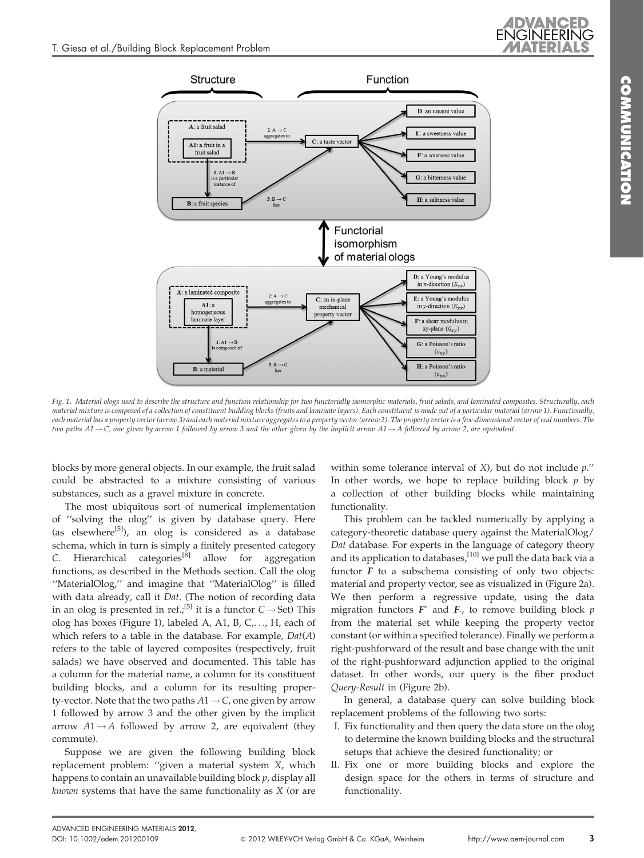

Fig. 1. Material ologs used to describe the structure and function relationship for two functorially isomorphic materials, fruit salads, and laminated composites. Structurally, each material mixture is composed of a collection of constituent building blocks (fruits and laminate layers). Each constituent is made out of a particular material (arrow 1). Functionally, each material has a property vector (arrow 3) and each material mixture aggregates to a property vector (arrow 2). The property vector is a five-dimensional vector of real numbers. The two paths  $A1 \rightarrow C$ , one given by arrow 1 followed by arrow 3 and the other given by the implicit arrow  $A1 \rightarrow A$  followed by arrow 2, are equivalent.

blocks by more general objects. In our example, the fruit salad could be abstracted to a mixture consisting of various substances, such as a gravel mixture in concrete.

The most ubiquitous sort of numerical implementation of ''solving the olog'' is given by database query. Here (as elsewhere<sup>[5]</sup>), an olog is considered as a database schema, which in turn is simply a finitely presented category C. Hierarchical categories<sup>[8]</sup> allow for aggregation functions, as described in the Methods section. Call the olog ''MaterialOlog,'' and imagine that ''MaterialOlog'' is filled with data already, call it Dat. (The notion of recording data in an olog is presented in ref.;<sup>[5]</sup> it is a functor  $C \rightarrow$  Set) This olog has boxes (Figure 1), labeled A, A1, B, C,..., H, each of which refers to a table in the database. For example,  $Dat(A)$ refers to the table of layered composites (respectively, fruit salads) we have observed and documented. This table has a column for the material name, a column for its constituent building blocks, and a column for its resulting property-vector. Note that the two paths  $A1 \rightarrow C$ , one given by arrow 1 followed by arrow 3 and the other given by the implicit arrow  $A1 \rightarrow A$  followed by arrow 2, are equivalent (they commute).

Suppose we are given the following building block replacement problem: ''given a material system X, which happens to contain an unavailable building block  $p$ , display all  $known$  systems that have the same functionality as  $X$  (or are

within some tolerance interval of  $X$ ), but do not include  $p$ ." In other words, we hope to replace building block  $p$  by a collection of other building blocks while maintaining functionality.

This problem can be tackled numerically by applying a category-theoretic database query against the MaterialOlog/ Dat database. For experts in the language of category theory and its application to databases, $[10]$  we pull the data back via a functor  $F$  to a subschema consisting of only two objects: material and property vector, see as visualized in (Figure 2a). We then perform a regressive update, using the data migration functors  $F^*$  and  $F^*$ , to remove building block p from the material set while keeping the property vector constant (or within a specified tolerance). Finally we perform a right-pushforward of the result and base change with the unit of the right-pushforward adjunction applied to the original dataset. In other words, our query is the fiber product Query-Result in (Figure 2b).

In general, a database query can solve building block replacement problems of the following two sorts:

- I. Fix functionality and then query the data store on the olog to determine the known building blocks and the structural setups that achieve the desired functionality; or
- II. Fix one or more building blocks and explore the design space for the others in terms of structure and functionality.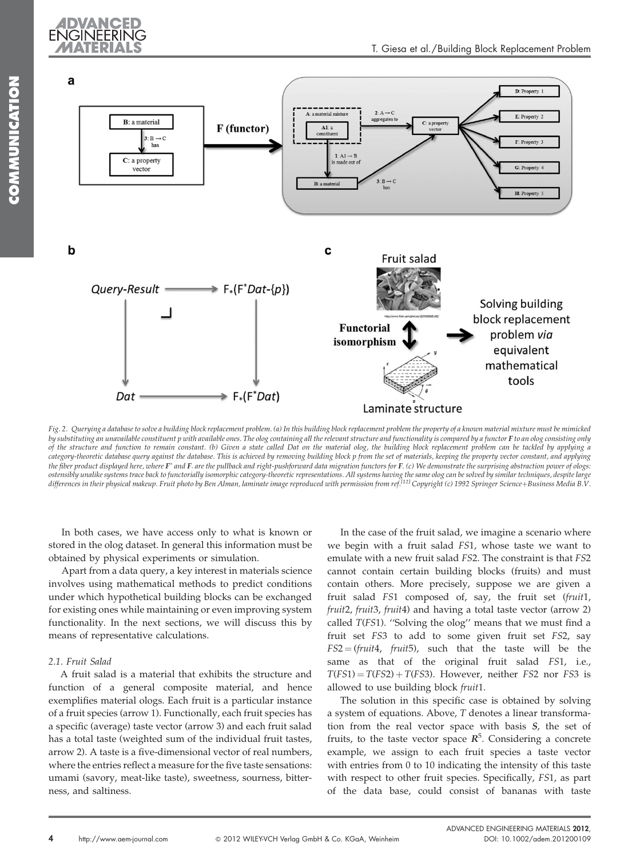



Fig. 2. Querying a database to solve a building block replacement problem. (a) In this building block replacement problem the property of a known material mixture must be mimicked by substituting an unavailable constituent p with available ones. The olog containing all the relevant structure and functionality is compared by a functor F to an olog consisting only of the structure and function to remain constant. (b) Given a state called Dat on the material olog, the building block replacement problem can be tackled by applying a category-theoretic database query against the database. This is achieved by removing building block p from the set of materials, keeping the property vector constant, and applying the fiber product displayed here, where F\* and F. are the pullback and right-pushforward data migration functors for F. (c) We demonstrate the surprising abstraction power of ologs: ostensibly unalike systems trace back to functorially isomorphic category-theoretic representations. All systems having the same olog can be solved by similar techniques, despite large differences in their physical makeup. Fruit photo by Ben Alman, laminate image reproduced with permission from ref.<sup>[12]</sup> Copyright (c) 1992 Springer Science+Business Media B.V.

In both cases, we have access only to what is known or stored in the olog dataset. In general this information must be obtained by physical experiments or simulation.

Apart from a data query, a key interest in materials science involves using mathematical methods to predict conditions under which hypothetical building blocks can be exchanged for existing ones while maintaining or even improving system functionality. In the next sections, we will discuss this by means of representative calculations.

# 2.1. Fruit Salad

A fruit salad is a material that exhibits the structure and function of a general composite material, and hence exemplifies material ologs. Each fruit is a particular instance of a fruit species (arrow 1). Functionally, each fruit species has a specific (average) taste vector (arrow 3) and each fruit salad has a total taste (weighted sum of the individual fruit tastes, arrow 2). A taste is a five-dimensional vector of real numbers, where the entries reflect a measure for the five taste sensations: umami (savory, meat-like taste), sweetness, sourness, bitterness, and saltiness.

In the case of the fruit salad, we imagine a scenario where we begin with a fruit salad FS1, whose taste we want to emulate with a new fruit salad FS2. The constraint is that FS2 cannot contain certain building blocks (fruits) and must contain others. More precisely, suppose we are given a fruit salad FS1 composed of, say, the fruit set (fruit1, fruit2, fruit3, fruit4) and having a total taste vector (arrow 2) called  $T(FS1)$ . "Solving the olog" means that we must find a fruit set FS3 to add to some given fruit set FS2, say  $FS2 = (fruit4, fruit5)$ , such that the taste will be the same as that of the original fruit salad FS1, i.e.,  $T(FS1) = T(FS2) + T(FS3)$ . However, neither FS2 nor FS3 is allowed to use building block fruit1.

The solution in this specific case is obtained by solving a system of equations. Above, T denotes a linear transformation from the real vector space with basis S, the set of fruits, to the taste vector space  $R^5$ . Considering a concrete example, we assign to each fruit species a taste vector with entries from 0 to 10 indicating the intensity of this taste with respect to other fruit species. Specifically, FS1, as part of the data base, could consist of bananas with taste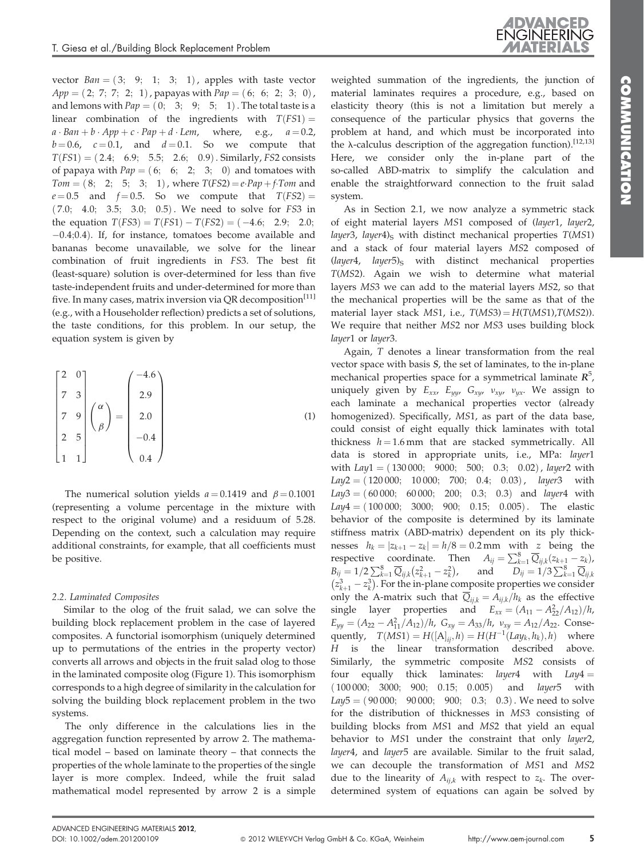

vector  $Ban = (3; 9; 1; 3; 1)$ , apples with taste vector  $App = (2; 7; 7; 2; 1)$ , papayas with  $Pap = (6; 6; 2; 3; 0)$ , and lemons with  $Pap = (0; 3; 9; 5; 1)$ . The total taste is a linear combination of the ingredients with  $T(FS1) =$  $a \cdot Ban + b \cdot App + c \cdot Pap + d \cdot Lem, \text{ where, e.g., } a = 0.2,$  $b = 0.6$ ,  $c = 0.1$ , and  $d = 0.1$ . So we compute that  $T(FS1) = (2.4; 6.9; 5.5; 2.6; 0.9)$ . Similarly, FS2 consists of papaya with  $Pap = (6; 6; 2; 3; 0)$  and tomatoes with  $Tom = (8; 2; 5; 3; 1)$ , where  $T(FS2) = e$ -Pap + f-Tom and  $e = 0.5$  and  $f = 0.5$ . So we compute that  $T(FS2) =$  $(7.0; 4.0; 3.5; 3.0; 0.5)$ . We need to solve for FS3 in the equation  $T(FS3) = T(FS1) - T(FS2) = (-4.6; 2.9; 2.0;$  $-0.4;0.4$ ). If, for instance, tomatoes become available and bananas become unavailable, we solve for the linear combination of fruit ingredients in FS3. The best fit (least-square) solution is over-determined for less than five taste-independent fruits and under-determined for more than five. In many cases, matrix inversion via OR decomposition<sup>[11]</sup> (e.g., with a Householder reflection) predicts a set of solutions, the taste conditions, for this problem. In our setup, the equation system is given by

$$
\begin{bmatrix} 2 & 0 \\ 7 & 3 \\ 7 & 9 \\ 2 & 5 \\ 1 & 1 \end{bmatrix} \begin{pmatrix} \alpha \\ \beta \end{pmatrix} = \begin{pmatrix} -4.6 \\ 2.9 \\ 2.0 \\ -0.4 \\ 0.4 \end{pmatrix}
$$
 (1)

The numerical solution yields  $a = 0.1419$  and  $\beta = 0.1001$ (representing a volume percentage in the mixture with respect to the original volume) and a residuum of 5.28. Depending on the context, such a calculation may require additional constraints, for example, that all coefficients must be positive.

# 2.2. Laminated Composites

Similar to the olog of the fruit salad, we can solve the building block replacement problem in the case of layered composites. A functorial isomorphism (uniquely determined up to permutations of the entries in the property vector) converts all arrows and objects in the fruit salad olog to those in the laminated composite olog (Figure 1). This isomorphism corresponds to a high degree of similarity in the calculation for solving the building block replacement problem in the two systems.

The only difference in the calculations lies in the aggregation function represented by arrow 2. The mathematical model – based on laminate theory – that connects the properties of the whole laminate to the properties of the single layer is more complex. Indeed, while the fruit salad mathematical model represented by arrow 2 is a simple

weighted summation of the ingredients, the junction of material laminates requires a procedure, e.g., based on elasticity theory (this is not a limitation but merely a consequence of the particular physics that governs the problem at hand, and which must be incorporated into the  $\lambda$ -calculus description of the aggregation function).<sup>[12,13]</sup> Here, we consider only the in-plane part of the so-called ABD-matrix to simplify the calculation and enable the straightforward connection to the fruit salad system.

As in Section 2.1, we now analyze a symmetric stack of eight material layers MS1 composed of (layer1, layer2, layer3, layer4)<sub>S</sub> with distinct mechanical properties  $T(MS1)$ and a stack of four material layers MS2 composed of  $(layer4, layer5)$ <sub>S</sub> with distinct mechanical properties T(MS2). Again we wish to determine what material layers MS3 we can add to the material layers MS2, so that the mechanical properties will be the same as that of the material layer stack MS1, i.e.,  $T(MS3) = H(T(MS1), T(MS2))$ . We require that neither MS2 nor MS3 uses building block layer1 or layer3.

Again, T denotes a linear transformation from the real vector space with basis S, the set of laminates, to the in-plane mechanical properties space for a symmetrical laminate  $R^5$ , uniquely given by  $E_{xx}$ ,  $E_{yy}$ ,  $G_{xy}$ ,  $v_{xy}$ ,  $v_{yx}$ . We assign to each laminate a mechanical properties vector (already homogenized). Specifically, MS1, as part of the data base, could consist of eight equally thick laminates with total thickness  $h = 1.6$  mm that are stacked symmetrically. All data is stored in appropriate units, i.e., MPa: layer1 with  $Lay1 = (130 000; 9000; 500; 0.3; 0.02)$ , layer2 with  $Lay2 = (120 000; 10 000; 700; 0.4; 0.03)$ , layer3 with  $Lay3 = (60000; 60000; 200; 0.3; 0.3)$  and layer4 with  $Lay4 = (100\,000; 3000; 900; 0.15; 0.005)$ . The elastic behavior of the composite is determined by its laminate stiffness matrix (ABD-matrix) dependent on its ply thicknesses  $h_k = |z_{k+1} - z_k| = h/8 = 0.2$  mm with z being the respective coordinate. Then  $A_{ij} = \sum_{k=1}^{8} \overline{Q}_{ij,k}(z_{k+1} - z_k)$ ,  $B_{ij} = 1/2 \sum_{k=1}^{8} \overline{Q}_{ij,k} (z_{k+1}^2 - z_k^2)$ ), and  $D_{ij} = 1/3 \sum_{k=1}^{8} \overline{Q}_{ij,k}$  $\left(z_{k+1}^3 - z_k^2\right)$ . For the in-plane composite properties we consider only the A-matrix such that  $\overline{Q}_{ij,k}=A_{ij,k}/h_k$  as the effective single layer properties and  $E_{xx} = (A_{11} - A_{22}^2/A_{12})/h$ ,  $E_{yy} = (A_{22} - A_{11}^2/A_{12})/h$ ,  $G_{xy} = A_{33}/h$ ,  $v_{xy} = A_{12}/A_{22}$ . Consequently,  $T(MS1) = H([A]_{ij}, h) = H(H^{-1}(Lay_k, h_k), h)$  where H is the linear transformation described above. Similarly, the symmetric composite MS2 consists of four equally thick laminates: layer4 with  $Lay4 =$ (100 000; 3000; 900; 0.15; 0.005) and layer5 with  $Lay5 = (90000; 90000; 900; 0.3; 0.3)$ . We need to solve for the distribution of thicknesses in MS3 consisting of building blocks from MS1 and MS2 that yield an equal behavior to MS1 under the constraint that only layer2, layer4, and layer5 are available. Similar to the fruit salad, we can decouple the transformation of MS1 and MS2 due to the linearity of  $A_{ij,k}$  with respect to  $z_k$ . The overdetermined system of equations can again be solved by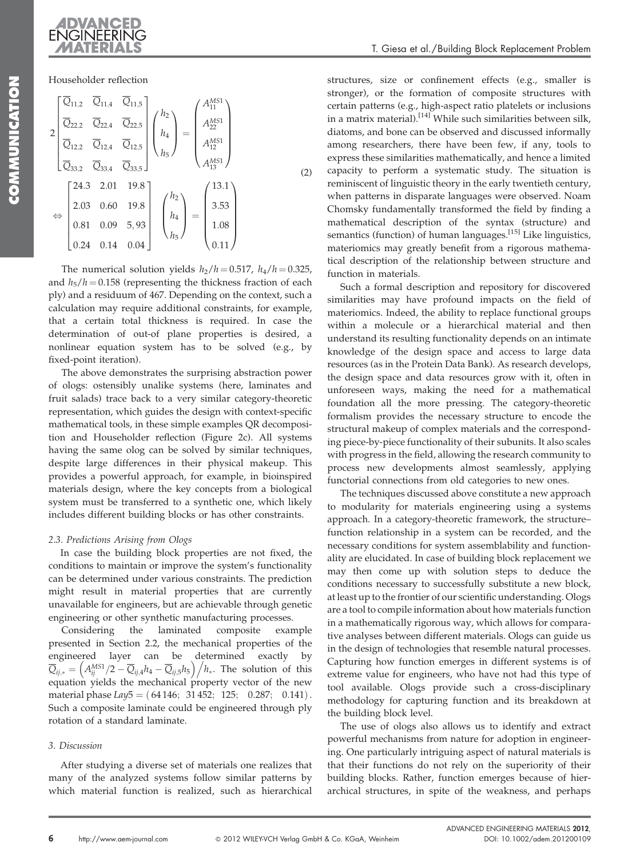

#### Householder reflection

$$
2\begin{bmatrix}\n\overline{Q}_{11,2} & \overline{Q}_{11,4} & \overline{Q}_{11,5} \\
\overline{Q}_{22,2} & \overline{Q}_{22,4} & \overline{Q}_{22,5} \\
\overline{Q}_{12,2} & \overline{Q}_{12,4} & \overline{Q}_{12,5} \\
\overline{Q}_{33,2} & \overline{Q}_{33,4} & \overline{Q}_{33,5}\n\end{bmatrix}\n\begin{bmatrix}\nh_2 \\
h_4 \\
h_5\n\end{bmatrix} =\n\begin{pmatrix}\nA_{11}^{MS1} \\
A_{22}^{MS1} \\
A_{12}^{MS1} \\
A_{13}^{MS1}\n\end{pmatrix}
$$
\n
$$
\Leftrightarrow\n\begin{bmatrix}\n24.3 & 2.01 & 19.8 \\
2.03 & 0.60 & 19.8 \\
0.81 & 0.09 & 5,93 \\
0.24 & 0.14 & 0.04\n\end{bmatrix}\n\begin{bmatrix}\nh_2 \\
h_4 \\
h_5\n\end{bmatrix} =\n\begin{bmatrix}\n13.1 \\
3.53 \\
1.08 \\
0.11\n\end{bmatrix}
$$
\n(2)

The numerical solution yields  $h_2/h = 0.517$ ,  $h_4/h = 0.325$ , and  $h_5/h = 0.158$  (representing the thickness fraction of each ply) and a residuum of 467. Depending on the context, such a calculation may require additional constraints, for example, that a certain total thickness is required. In case the determination of out-of plane properties is desired, a nonlinear equation system has to be solved (e.g., by fixed-point iteration).

The above demonstrates the surprising abstraction power of ologs: ostensibly unalike systems (here, laminates and fruit salads) trace back to a very similar category-theoretic representation, which guides the design with context-specific mathematical tools, in these simple examples QR decomposition and Householder reflection (Figure 2c). All systems having the same olog can be solved by similar techniques, despite large differences in their physical makeup. This provides a powerful approach, for example, in bioinspired materials design, where the key concepts from a biological system must be transferred to a synthetic one, which likely includes different building blocks or has other constraints.

#### 2.3. Predictions Arising from Ologs

In case the building block properties are not fixed, the conditions to maintain or improve the system's functionality can be determined under various constraints. The prediction might result in material properties that are currently unavailable for engineers, but are achievable through genetic engineering or other synthetic manufacturing processes.

Considering the laminated composite example presented in Section 2.2, the mechanical properties of the engineered layer can be determined exactly by engineered layer can be determined exactly by<br>  $\overline{Q}_{ij,*} = (A_{ij}^{\text{M51}}/2 - \overline{Q}_{ij,4}h_4 - \overline{Q}_{ij,5}h_5)/h_*$ . The solution of this equation yields the mechanical property vector of the new material phase  $Lay5 = (64 146; 31 452; 125; 0.287; 0.141)$ . Such a composite laminate could be engineered through ply rotation of a standard laminate.

#### 3. Discussion

After studying a diverse set of materials one realizes that many of the analyzed systems follow similar patterns by which material function is realized, such as hierarchical

structures, size or confinement effects (e.g., smaller is stronger), or the formation of composite structures with certain patterns (e.g., high-aspect ratio platelets or inclusions in a matrix material).<sup>[14]</sup> While such similarities between silk, diatoms, and bone can be observed and discussed informally among researchers, there have been few, if any, tools to express these similarities mathematically, and hence a limited capacity to perform a systematic study. The situation is reminiscent of linguistic theory in the early twentieth century, when patterns in disparate languages were observed. Noam Chomsky fundamentally transformed the field by finding a mathematical description of the syntax (structure) and semantics (function) of human languages.<sup>[15]</sup> Like linguistics, materiomics may greatly benefit from a rigorous mathematical description of the relationship between structure and function in materials.

Such a formal description and repository for discovered similarities may have profound impacts on the field of materiomics. Indeed, the ability to replace functional groups within a molecule or a hierarchical material and then understand its resulting functionality depends on an intimate knowledge of the design space and access to large data resources (as in the Protein Data Bank). As research develops, the design space and data resources grow with it, often in unforeseen ways, making the need for a mathematical foundation all the more pressing. The category-theoretic formalism provides the necessary structure to encode the structural makeup of complex materials and the corresponding piece-by-piece functionality of their subunits. It also scales with progress in the field, allowing the research community to process new developments almost seamlessly, applying functorial connections from old categories to new ones.

The techniques discussed above constitute a new approach to modularity for materials engineering using a systems approach. In a category-theoretic framework, the structure– function relationship in a system can be recorded, and the necessary conditions for system assemblability and functionality are elucidated. In case of building block replacement we may then come up with solution steps to deduce the conditions necessary to successfully substitute a new block, at least up to the frontier of our scientific understanding. Ologs are a tool to compile information about how materials function in a mathematically rigorous way, which allows for comparative analyses between different materials. Ologs can guide us in the design of technologies that resemble natural processes. Capturing how function emerges in different systems is of extreme value for engineers, who have not had this type of tool available. Ologs provide such a cross-disciplinary methodology for capturing function and its breakdown at the building block level.

The use of ologs also allows us to identify and extract powerful mechanisms from nature for adoption in engineering. One particularly intriguing aspect of natural materials is that their functions do not rely on the superiority of their building blocks. Rather, function emerges because of hierarchical structures, in spite of the weakness, and perhaps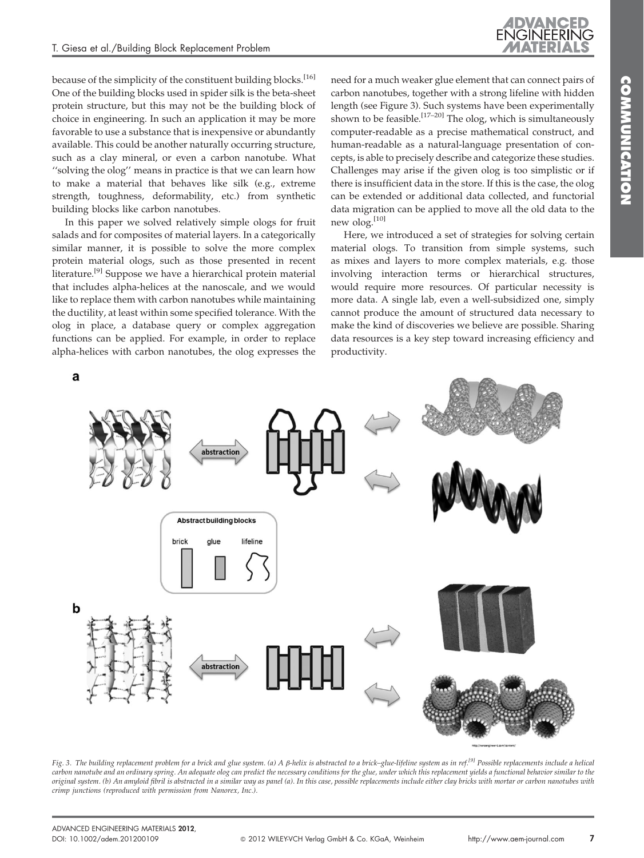because of the simplicity of the constituent building blocks.<sup>[16]</sup> One of the building blocks used in spider silk is the beta-sheet protein structure, but this may not be the building block of choice in engineering. In such an application it may be more favorable to use a substance that is inexpensive or abundantly available. This could be another naturally occurring structure, such as a clay mineral, or even a carbon nanotube. What ''solving the olog'' means in practice is that we can learn how to make a material that behaves like silk (e.g., extreme strength, toughness, deformability, etc.) from synthetic building blocks like carbon nanotubes.

In this paper we solved relatively simple ologs for fruit salads and for composites of material layers. In a categorically similar manner, it is possible to solve the more complex protein material ologs, such as those presented in recent literature.[9] Suppose we have a hierarchical protein material that includes alpha-helices at the nanoscale, and we would like to replace them with carbon nanotubes while maintaining the ductility, at least within some specified tolerance. With the olog in place, a database query or complex aggregation functions can be applied. For example, in order to replace alpha-helices with carbon nanotubes, the olog expresses the need for a much weaker glue element that can connect pairs of carbon nanotubes, together with a strong lifeline with hidden length (see Figure 3). Such systems have been experimentally shown to be feasible.<sup>[17–20]</sup> The olog, which is simultaneously computer-readable as a precise mathematical construct, and human-readable as a natural-language presentation of concepts, is able to precisely describe and categorize these studies. Challenges may arise if the given olog is too simplistic or if there is insufficient data in the store. If this is the case, the olog can be extended or additional data collected, and functorial data migration can be applied to move all the old data to the new olog.[10]

Here, we introduced a set of strategies for solving certain material ologs. To transition from simple systems, such as mixes and layers to more complex materials, e.g. those involving interaction terms or hierarchical structures, would require more resources. Of particular necessity is more data. A single lab, even a well-subsidized one, simply cannot produce the amount of structured data necessary to make the kind of discoveries we believe are possible. Sharing data resources is a key step toward increasing efficiency and productivity.



Fig. 3. The building replacement problem for a brick and glue system. (a) A  $\beta$ -helix is abstracted to a brick–glue-lifeline system as in ref.<sup>[9]</sup> Possible replacements include a helical carbon nanotube and an ordinary spring. An adequate olog can predict the necessary conditions for the glue, under which this replacement yields a functional behavior similar to the original system. (b) An amyloid fibril is abstracted in a similar way as panel (a). In this case, possible replacements include either clay bricks with mortar or carbon nanotubes with crimp junctions (reproduced with permission from Nanorex, Inc.).